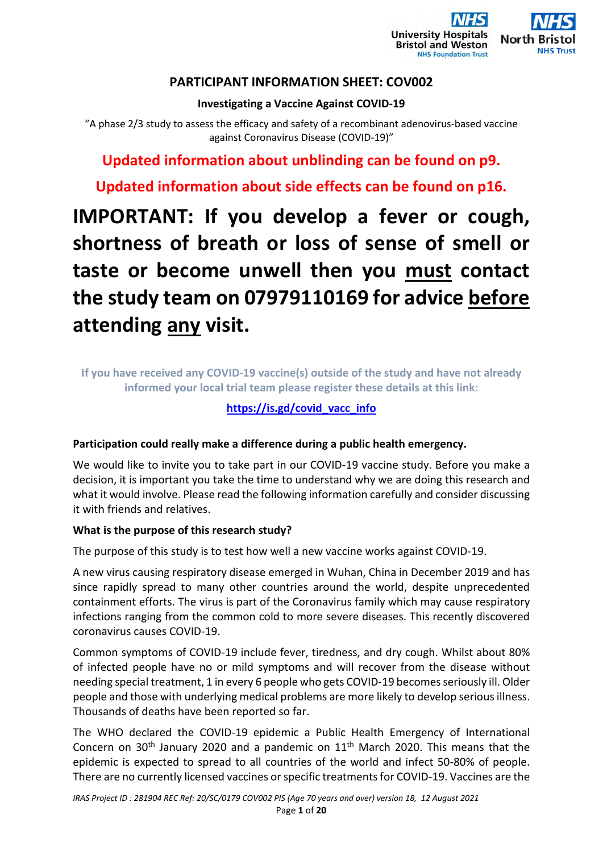

# **PARTICIPANT INFORMATION SHEET: COV002**

# **Investigating a Vaccine Against COVID-19**

"A phase 2/3 study to assess the efficacy and safety of a recombinant adenovirus-based vaccine against Coronavirus Disease (COVID-19)"

**Updated information about unblinding can be found on p9.** 

**Updated information about side effects can be found on p16.**

# **IMPORTANT: If you develop a fever or cough, shortness of breath or loss of sense of smell or taste or become unwell then you must contact the study team on 07979110169 for advice before attending any visit.**

**If you have received any COVID-19 vaccine(s) outside of the study and have not already informed your local trial team please register these details at this link:** 

# **https://is.gd/covid\_vacc\_info**

# **Participation could really make a difference during a public health emergency.**

We would like to invite you to take part in our COVID-19 vaccine study. Before you make a decision, it is important you take the time to understand why we are doing this research and what it would involve. Please read the following information carefully and consider discussing it with friends and relatives.

# **What is the purpose of this research study?**

The purpose of this study is to test how well a new vaccine works against COVID-19.

A new virus causing respiratory disease emerged in Wuhan, China in December 2019 and has since rapidly spread to many other countries around the world, despite unprecedented containment efforts. The virus is part of the Coronavirus family which may cause respiratory infections ranging from the common cold to more severe diseases. This recently discovered coronavirus causes COVID-19.

Common symptoms of COVID-19 include fever, tiredness, and dry cough. Whilst about 80% of infected people have no or mild symptoms and will recover from the disease without needing special treatment, 1 in every 6 people who gets COVID-19 becomes seriously ill. Older people and those with underlying medical problems are more likely to develop serious illness. Thousands of deaths have been reported so far.

The WHO declared the COVID-19 epidemic a Public Health Emergency of International Concern on 30<sup>th</sup> January 2020 and a pandemic on  $11<sup>th</sup>$  March 2020. This means that the epidemic is expected to spread to all countries of the world and infect 50-80% of people. There are no currently licensed vaccines or specific treatments for COVID-19. Vaccines are the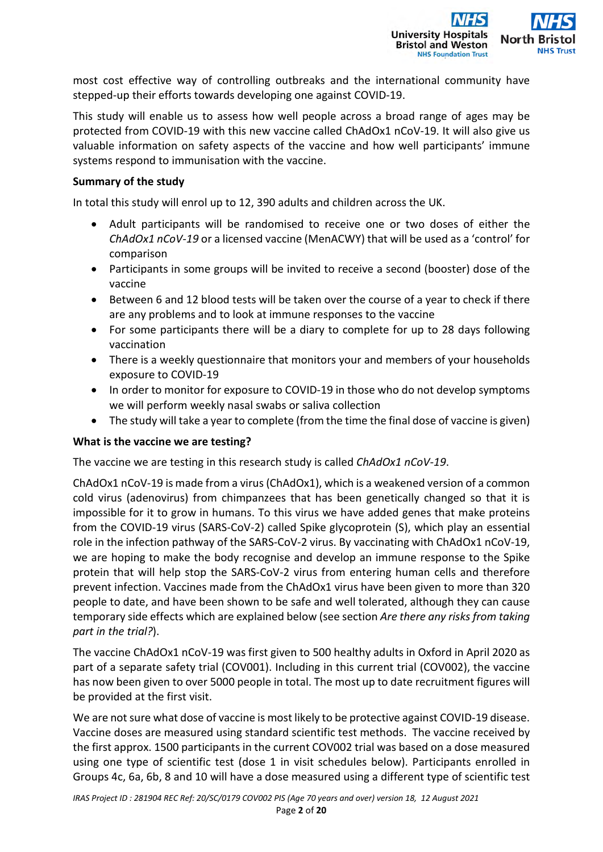

most cost effective way of controlling outbreaks and the international community have stepped-up their efforts towards developing one against COVID-19.

This study will enable us to assess how well people across a broad range of ages may be protected from COVID-19 with this new vaccine called ChAdOx1 nCoV-19. It will also give us valuable information on safety aspects of the vaccine and how well participants' immune systems respond to immunisation with the vaccine.

#### **Summary of the study**

In total this study will enrol up to 12, 390 adults and children across the UK.

- Adult participants will be randomised to receive one or two doses of either the *ChAdOx1 nCoV-19* or a licensed vaccine (MenACWY) that will be used as a 'control' for comparison
- Participants in some groups will be invited to receive a second (booster) dose of the vaccine
- Between 6 and 12 blood tests will be taken over the course of a year to check if there are any problems and to look at immune responses to the vaccine
- For some participants there will be a diary to complete for up to 28 days following vaccination
- There is a weekly questionnaire that monitors your and members of your households exposure to COVID-19
- In order to monitor for exposure to COVID-19 in those who do not develop symptoms we will perform weekly nasal swabs or saliva collection
- The study will take a year to complete (from the time the final dose of vaccine is given)

#### **What is the vaccine we are testing?**

The vaccine we are testing in this research study is called *ChAdOx1 nCoV-19*.

ChAdOx1 nCoV-19 is made from a virus (ChAdOx1), which is a weakened version of a common cold virus (adenovirus) from chimpanzees that has been genetically changed so that it is impossible for it to grow in humans. To this virus we have added genes that make proteins from the COVID-19 virus (SARS-CoV-2) called Spike glycoprotein (S), which play an essential role in the infection pathway of the SARS-CoV-2 virus. By vaccinating with ChAdOx1 nCoV-19, we are hoping to make the body recognise and develop an immune response to the Spike protein that will help stop the SARS-CoV-2 virus from entering human cells and therefore prevent infection. Vaccines made from the ChAdOx1 virus have been given to more than 320 people to date, and have been shown to be safe and well tolerated, although they can cause temporary side effects which are explained below (see section *Are there any risks from taking part in the trial?*).

The vaccine ChAdOx1 nCoV-19 was first given to 500 healthy adults in Oxford in April 2020 as part of a separate safety trial (COV001). Including in this current trial (COV002), the vaccine has now been given to over 5000 people in total. The most up to date recruitment figures will be provided at the first visit.

We are not sure what dose of vaccine is most likely to be protective against COVID-19 disease. Vaccine doses are measured using standard scientific test methods. The vaccine received by the first approx. 1500 participants in the current COV002 trial was based on a dose measured using one type of scientific test (dose 1 in visit schedules below). Participants enrolled in Groups 4c, 6a, 6b, 8 and 10 will have a dose measured using a different type of scientific test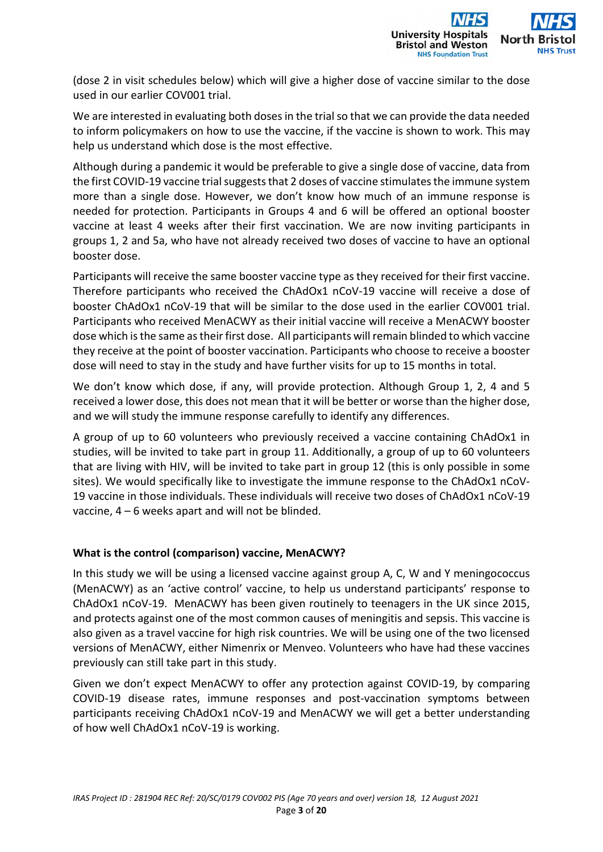

(dose 2 in visit schedules below) which will give a higher dose of vaccine similar to the dose used in our earlier COV001 trial.

We are interested in evaluating both doses in the trial so that we can provide the data needed to inform policymakers on how to use the vaccine, if the vaccine is shown to work. This may help us understand which dose is the most effective.

Although during a pandemic it would be preferable to give a single dose of vaccine, data from the first COVID-19 vaccine trial suggests that 2 doses of vaccine stimulates the immune system more than a single dose. However, we don't know how much of an immune response is needed for protection. Participants in Groups 4 and 6 will be offered an optional booster vaccine at least 4 weeks after their first vaccination. We are now inviting participants in groups 1, 2 and 5a, who have not already received two doses of vaccine to have an optional booster dose.

Participants will receive the same booster vaccine type as they received for their first vaccine. Therefore participants who received the ChAdOx1 nCoV-19 vaccine will receive a dose of booster ChAdOx1 nCoV-19 that will be similar to the dose used in the earlier COV001 trial. Participants who received MenACWY as their initial vaccine will receive a MenACWY booster dose which is the same as their first dose. All participants will remain blinded to which vaccine they receive at the point of booster vaccination. Participants who choose to receive a booster dose will need to stay in the study and have further visits for up to 15 months in total.

We don't know which dose, if any, will provide protection. Although Group 1, 2, 4 and 5 received a lower dose, this does not mean that it will be better or worse than the higher dose, and we will study the immune response carefully to identify any differences.

A group of up to 60 volunteers who previously received a vaccine containing ChAdOx1 in studies, will be invited to take part in group 11. Additionally, a group of up to 60 volunteers that are living with HIV, will be invited to take part in group 12 (this is only possible in some sites). We would specifically like to investigate the immune response to the ChAdOx1 nCoV-19 vaccine in those individuals. These individuals will receive two doses of ChAdOx1 nCoV-19 vaccine, 4 – 6 weeks apart and will not be blinded.

#### **What is the control (comparison) vaccine, MenACWY?**

In this study we will be using a licensed vaccine against group A, C, W and Y meningococcus (MenACWY) as an 'active control' vaccine, to help us understand participants' response to ChAdOx1 nCoV-19. MenACWY has been given routinely to teenagers in the UK since 2015, and protects against one of the most common causes of meningitis and sepsis. This vaccine is also given as a travel vaccine for high risk countries. We will be using one of the two licensed versions of MenACWY, either Nimenrix or Menveo. Volunteers who have had these vaccines previously can still take part in this study.

Given we don't expect MenACWY to offer any protection against COVID-19, by comparing COVID-19 disease rates, immune responses and post-vaccination symptoms between participants receiving ChAdOx1 nCoV-19 and MenACWY we will get a better understanding of how well ChAdOx1 nCoV-19 is working.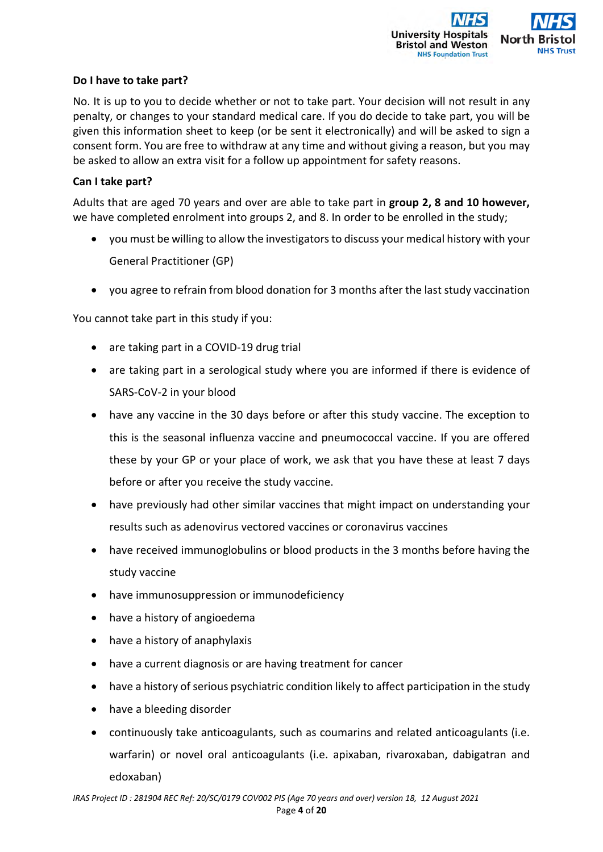

#### **Do I have to take part?**

No. It is up to you to decide whether or not to take part. Your decision will not result in any penalty, or changes to your standard medical care. If you do decide to take part, you will be given this information sheet to keep (or be sent it electronically) and will be asked to sign a consent form. You are free to withdraw at any time and without giving a reason, but you may be asked to allow an extra visit for a follow up appointment for safety reasons.

#### **Can I take part?**

Adults that are aged 70 years and over are able to take part in **group 2, 8 and 10 however,** we have completed enrolment into groups 2, and 8. In order to be enrolled in the study;

- you must be willing to allow the investigators to discuss your medical history with your General Practitioner (GP)
- you agree to refrain from blood donation for 3 months after the last study vaccination

You cannot take part in this study if you:

- are taking part in a COVID-19 drug trial
- are taking part in a serological study where you are informed if there is evidence of SARS-CoV-2 in your blood
- have any vaccine in the 30 days before or after this study vaccine. The exception to this is the seasonal influenza vaccine and pneumococcal vaccine. If you are offered these by your GP or your place of work, we ask that you have these at least 7 days before or after you receive the study vaccine.
- have previously had other similar vaccines that might impact on understanding your results such as adenovirus vectored vaccines or coronavirus vaccines
- have received immunoglobulins or blood products in the 3 months before having the study vaccine
- have immunosuppression or immunodeficiency
- have a history of angioedema
- have a history of anaphylaxis
- have a current diagnosis or are having treatment for cancer
- have a history of serious psychiatric condition likely to affect participation in the study
- have a bleeding disorder
- continuously take anticoagulants, such as coumarins and related anticoagulants (i.e. warfarin) or novel oral anticoagulants (i.e. apixaban, rivaroxaban, dabigatran and edoxaban)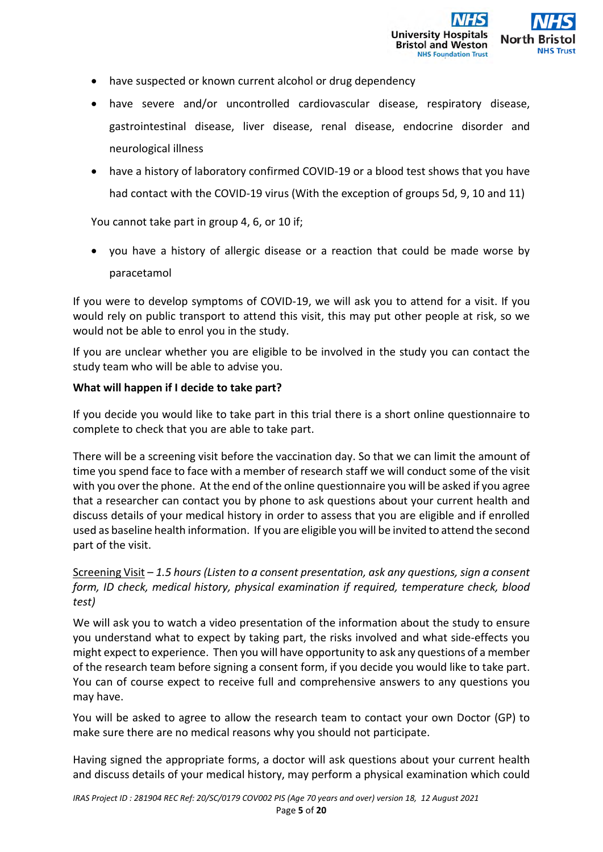- have suspected or known current alcohol or drug dependency
- have severe and/or uncontrolled cardiovascular disease, respiratory disease, gastrointestinal disease, liver disease, renal disease, endocrine disorder and neurological illness
- have a history of laboratory confirmed COVID-19 or a blood test shows that you have had contact with the COVID-19 virus (With the exception of groups 5d, 9, 10 and 11)

You cannot take part in group 4, 6, or 10 if;

 you have a history of allergic disease or a reaction that could be made worse by paracetamol

If you were to develop symptoms of COVID-19, we will ask you to attend for a visit. If you would rely on public transport to attend this visit, this may put other people at risk, so we would not be able to enrol you in the study.

If you are unclear whether you are eligible to be involved in the study you can contact the study team who will be able to advise you.

#### **What will happen if I decide to take part?**

If you decide you would like to take part in this trial there is a short online questionnaire to complete to check that you are able to take part.

There will be a screening visit before the vaccination day. So that we can limit the amount of time you spend face to face with a member of research staff we will conduct some of the visit with you over the phone. At the end of the online questionnaire you will be asked if you agree that a researcher can contact you by phone to ask questions about your current health and discuss details of your medical history in order to assess that you are eligible and if enrolled used as baseline health information. If you are eligible you will be invited to attend the second part of the visit.

# Screening Visit – *1.5 hours (Listen to a consent presentation, ask any questions, sign a consent form, ID check, medical history, physical examination if required, temperature check, blood test)*

We will ask you to watch a video presentation of the information about the study to ensure you understand what to expect by taking part, the risks involved and what side-effects you might expect to experience. Then you will have opportunity to ask any questions of a member of the research team before signing a consent form, if you decide you would like to take part. You can of course expect to receive full and comprehensive answers to any questions you may have.

You will be asked to agree to allow the research team to contact your own Doctor (GP) to make sure there are no medical reasons why you should not participate.

Having signed the appropriate forms, a doctor will ask questions about your current health and discuss details of your medical history, may perform a physical examination which could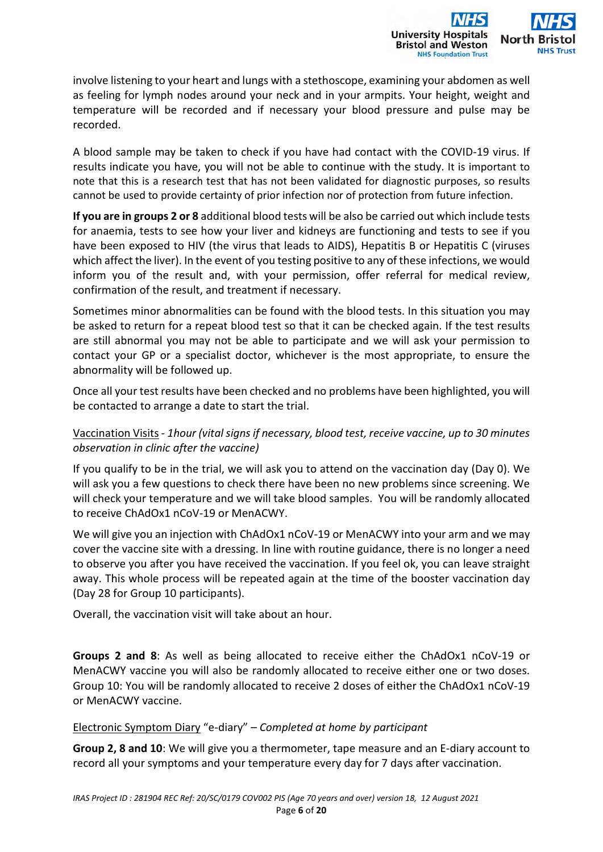

involve listening to your heart and lungs with a stethoscope, examining your abdomen as well as feeling for lymph nodes around your neck and in your armpits. Your height, weight and temperature will be recorded and if necessary your blood pressure and pulse may be recorded.

A blood sample may be taken to check if you have had contact with the COVID-19 virus. If results indicate you have, you will not be able to continue with the study. It is important to note that this is a research test that has not been validated for diagnostic purposes, so results cannot be used to provide certainty of prior infection nor of protection from future infection.

**If you are in groups 2 or 8** additional blood tests will be also be carried out which include tests for anaemia, tests to see how your liver and kidneys are functioning and tests to see if you have been exposed to HIV (the virus that leads to AIDS), Hepatitis B or Hepatitis C (viruses which affect the liver). In the event of you testing positive to any of these infections, we would inform you of the result and, with your permission, offer referral for medical review, confirmation of the result, and treatment if necessary.

Sometimes minor abnormalities can be found with the blood tests. In this situation you may be asked to return for a repeat blood test so that it can be checked again. If the test results are still abnormal you may not be able to participate and we will ask your permission to contact your GP or a specialist doctor, whichever is the most appropriate, to ensure the abnormality will be followed up.

Once all your test results have been checked and no problems have been highlighted, you will be contacted to arrange a date to start the trial.

# Vaccination Visits - *1hour (vital signs if necessary, blood test, receive vaccine, up to 30 minutes observation in clinic after the vaccine)*

If you qualify to be in the trial, we will ask you to attend on the vaccination day (Day 0). We will ask you a few questions to check there have been no new problems since screening. We will check your temperature and we will take blood samples. You will be randomly allocated to receive ChAdOx1 nCoV-19 or MenACWY.

We will give you an injection with ChAdOx1 nCoV-19 or MenACWY into your arm and we may cover the vaccine site with a dressing. In line with routine guidance, there is no longer a need to observe you after you have received the vaccination. If you feel ok, you can leave straight away. This whole process will be repeated again at the time of the booster vaccination day (Day 28 for Group 10 participants).

Overall, the vaccination visit will take about an hour.

**Groups 2 and 8**: As well as being allocated to receive either the ChAdOx1 nCoV-19 or MenACWY vaccine you will also be randomly allocated to receive either one or two doses. Group 10: You will be randomly allocated to receive 2 doses of either the ChAdOx1 nCoV-19 or MenACWY vaccine.

#### Electronic Symptom Diary "e-diary" – *Completed at home by participant*

**Group 2, 8 and 10**: We will give you a thermometer, tape measure and an E-diary account to record all your symptoms and your temperature every day for 7 days after vaccination.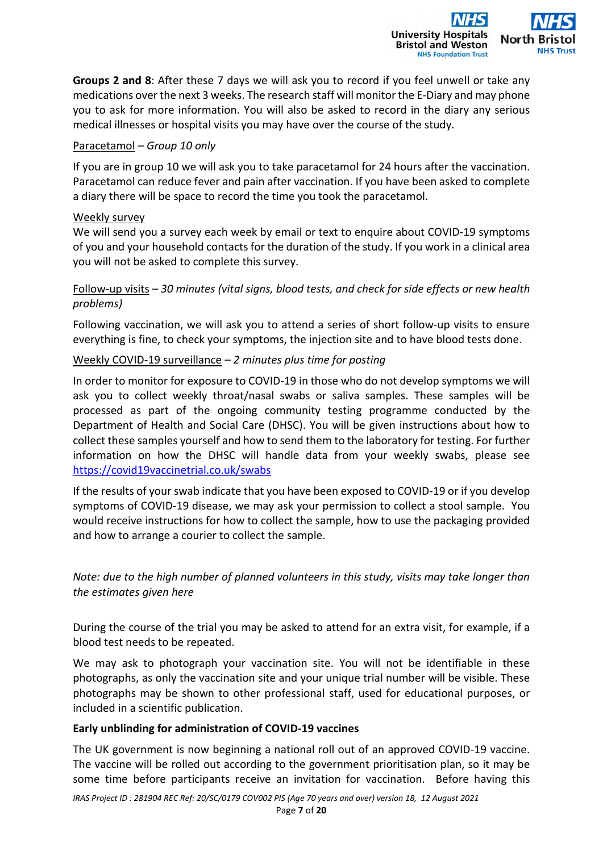**Groups 2 and 8**: After these 7 days we will ask you to record if you feel unwell or take any medications over the next 3 weeks. The research staff will monitor the E-Diary and may phone you to ask for more information. You will also be asked to record in the diary any serious medical illnesses or hospital visits you may have over the course of the study.

**University Hos Bristol and Weston NHS Foundation Trust** 

## Paracetamol – *Group 10 only*

If you are in group 10 we will ask you to take paracetamol for 24 hours after the vaccination. Paracetamol can reduce fever and pain after vaccination. If you have been asked to complete a diary there will be space to record the time you took the paracetamol.

#### Weekly survey

We will send you a survey each week by email or text to enquire about COVID-19 symptoms of you and your household contacts for the duration of the study. If you work in a clinical area you will not be asked to complete this survey.

# Follow-up visits *– 30 minutes (vital signs, blood tests, and check for side effects or new health problems)*

Following vaccination, we will ask you to attend a series of short follow-up visits to ensure everything is fine, to check your symptoms, the injection site and to have blood tests done.

## Weekly COVID-19 surveillance – *2 minutes plus time for posting*

In order to monitor for exposure to COVID-19 in those who do not develop symptoms we will ask you to collect weekly throat/nasal swabs or saliva samples. These samples will be processed as part of the ongoing community testing programme conducted by the Department of Health and Social Care (DHSC). You will be given instructions about how to collect these samples yourself and how to send them to the laboratory for testing. For further information on how the DHSC will handle data from your weekly swabs, please see https://covid19vaccinetrial.co.uk/swabs

If the results of your swab indicate that you have been exposed to COVID-19 or if you develop symptoms of COVID-19 disease, we may ask your permission to collect a stool sample. You would receive instructions for how to collect the sample, how to use the packaging provided and how to arrange a courier to collect the sample.

*Note: due to the high number of planned volunteers in this study, visits may take longer than the estimates given here* 

During the course of the trial you may be asked to attend for an extra visit, for example, if a blood test needs to be repeated.

We may ask to photograph your vaccination site. You will not be identifiable in these photographs, as only the vaccination site and your unique trial number will be visible. These photographs may be shown to other professional staff, used for educational purposes, or included in a scientific publication.

#### **Early unblinding for administration of COVID-19 vaccines**

The UK government is now beginning a national roll out of an approved COVID-19 vaccine. The vaccine will be rolled out according to the government prioritisation plan, so it may be some time before participants receive an invitation for vaccination. Before having this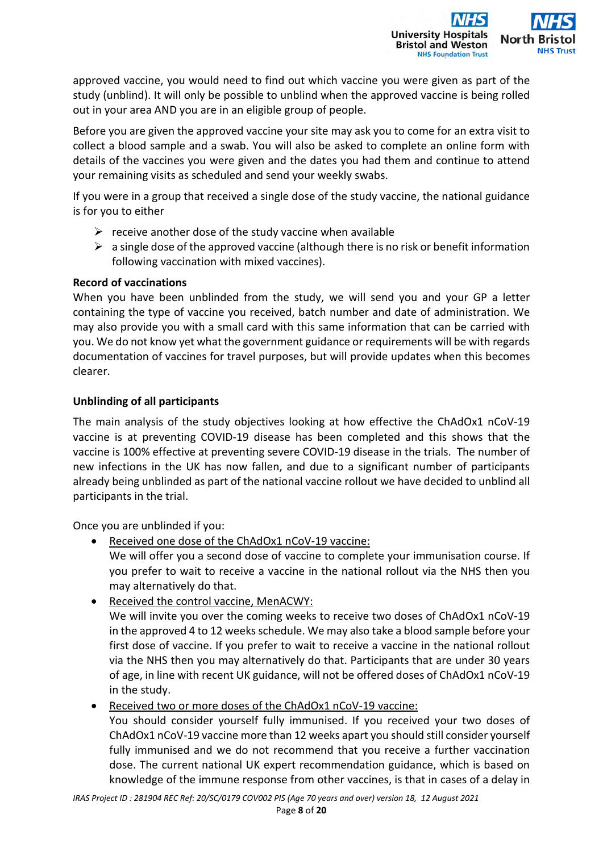

approved vaccine, you would need to find out which vaccine you were given as part of the study (unblind). It will only be possible to unblind when the approved vaccine is being rolled out in your area AND you are in an eligible group of people.

Before you are given the approved vaccine your site may ask you to come for an extra visit to collect a blood sample and a swab. You will also be asked to complete an online form with details of the vaccines you were given and the dates you had them and continue to attend your remaining visits as scheduled and send your weekly swabs.

If you were in a group that received a single dose of the study vaccine, the national guidance is for you to either

- $\triangleright$  receive another dose of the study vaccine when available
- $\triangleright$  a single dose of the approved vaccine (although there is no risk or benefit information following vaccination with mixed vaccines).

#### **Record of vaccinations**

When you have been unblinded from the study, we will send you and your GP a letter containing the type of vaccine you received, batch number and date of administration. We may also provide you with a small card with this same information that can be carried with you. We do not know yet what the government guidance or requirements will be with regards documentation of vaccines for travel purposes, but will provide updates when this becomes clearer.

## **Unblinding of all participants**

The main analysis of the study objectives looking at how effective the ChAdOx1 nCoV-19 vaccine is at preventing COVID-19 disease has been completed and this shows that the vaccine is 100% effective at preventing severe COVID-19 disease in the trials. The number of new infections in the UK has now fallen, and due to a significant number of participants already being unblinded as part of the national vaccine rollout we have decided to unblind all participants in the trial.

Once you are unblinded if you:

Received one dose of the ChAdOx1 nCoV-19 vaccine:

We will offer you a second dose of vaccine to complete your immunisation course. If you prefer to wait to receive a vaccine in the national rollout via the NHS then you may alternatively do that.

• Received the control vaccine, MenACWY:

We will invite you over the coming weeks to receive two doses of ChAdOx1 nCoV-19 in the approved 4 to 12 weeks schedule. We may also take a blood sample before your first dose of vaccine. If you prefer to wait to receive a vaccine in the national rollout via the NHS then you may alternatively do that. Participants that are under 30 years of age, in line with recent UK guidance, will not be offered doses of ChAdOx1 nCoV-19 in the study.

Received two or more doses of the ChAdOx1 nCoV-19 vaccine:

You should consider yourself fully immunised. If you received your two doses of ChAdOx1 nCoV-19 vaccine more than 12 weeks apart you should still consider yourself fully immunised and we do not recommend that you receive a further vaccination dose. The current national UK expert recommendation guidance, which is based on knowledge of the immune response from other vaccines, is that in cases of a delay in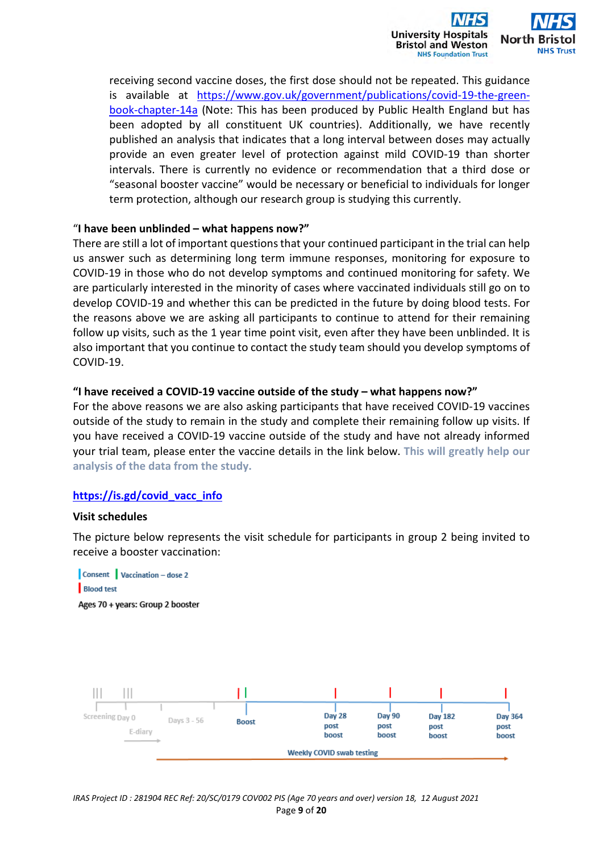

receiving second vaccine doses, the first dose should not be repeated. This guidance is available at https://www.gov.uk/government/publications/covid-19-the-greenbook-chapter-14a (Note: This has been produced by Public Health England but has been adopted by all constituent UK countries). Additionally, we have recently published an analysis that indicates that a long interval between doses may actually provide an even greater level of protection against mild COVID-19 than shorter intervals. There is currently no evidence or recommendation that a third dose or "seasonal booster vaccine" would be necessary or beneficial to individuals for longer term protection, although our research group is studying this currently.

#### "**I have been unblinded – what happens now?"**

There are still a lot of important questions that your continued participant in the trial can help us answer such as determining long term immune responses, monitoring for exposure to COVID-19 in those who do not develop symptoms and continued monitoring for safety. We are particularly interested in the minority of cases where vaccinated individuals still go on to develop COVID-19 and whether this can be predicted in the future by doing blood tests. For the reasons above we are asking all participants to continue to attend for their remaining follow up visits, such as the 1 year time point visit, even after they have been unblinded. It is also important that you continue to contact the study team should you develop symptoms of COVID-19.

#### **"I have received a COVID-19 vaccine outside of the study – what happens now?"**

For the above reasons we are also asking participants that have received COVID-19 vaccines outside of the study to remain in the study and complete their remaining follow up visits. If you have received a COVID-19 vaccine outside of the study and have not already informed your trial team, please enter the vaccine details in the link below. **This will greatly help our analysis of the data from the study.** 

#### **https://is.gd/covid\_vacc\_info**

#### **Visit schedules**

The picture below represents the visit schedule for participants in group 2 being invited to receive a booster vaccination:



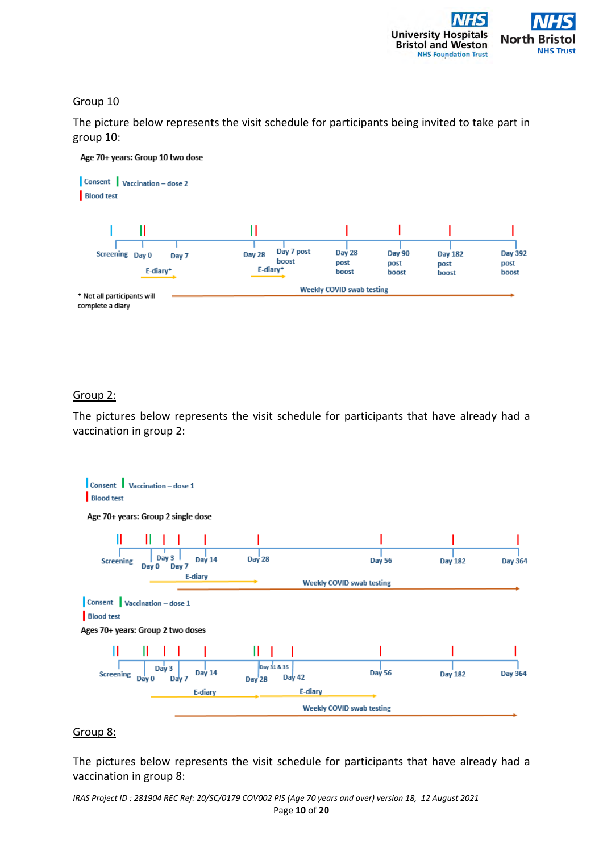

#### Group 10

The picture below represents the visit schedule for participants being invited to take part in group 10:



#### Group 2:

The pictures below represents the visit schedule for participants that have already had a vaccination in group 2:



#### Group 8:

The pictures below represents the visit schedule for participants that have already had a vaccination in group 8: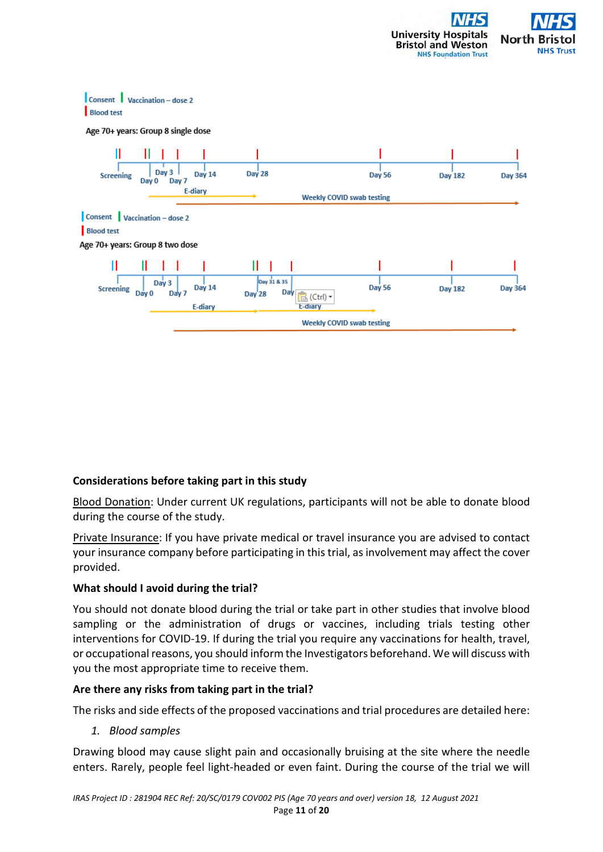



#### **Considerations before taking part in this study**

Blood Donation: Under current UK regulations, participants will not be able to donate blood during the course of the study.

Private Insurance: If you have private medical or travel insurance you are advised to contact your insurance company before participating in this trial, as involvement may affect the cover provided.

#### **What should I avoid during the trial?**

You should not donate blood during the trial or take part in other studies that involve blood sampling or the administration of drugs or vaccines, including trials testing other interventions for COVID-19. If during the trial you require any vaccinations for health, travel, or occupational reasons, you should inform the Investigators beforehand. We will discuss with you the most appropriate time to receive them.

#### **Are there any risks from taking part in the trial?**

The risks and side effects of the proposed vaccinations and trial procedures are detailed here:

*1. Blood samples* 

Drawing blood may cause slight pain and occasionally bruising at the site where the needle enters. Rarely, people feel light-headed or even faint. During the course of the trial we will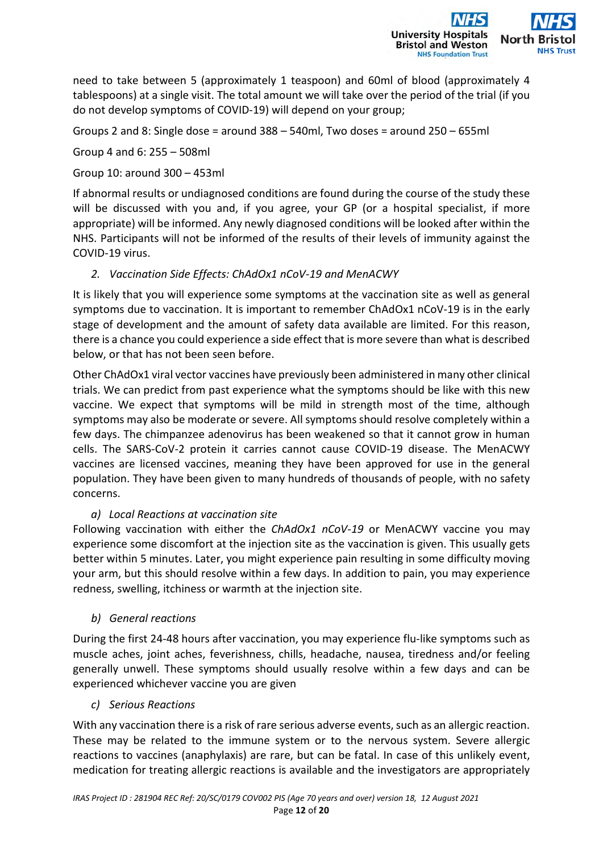

need to take between 5 (approximately 1 teaspoon) and 60ml of blood (approximately 4 tablespoons) at a single visit. The total amount we will take over the period of the trial (if you do not develop symptoms of COVID-19) will depend on your group;

Groups 2 and 8: Single dose = around 388 – 540ml, Two doses = around 250 – 655ml

Group 4 and 6: 255 – 508ml

Group 10: around 300 – 453ml

If abnormal results or undiagnosed conditions are found during the course of the study these will be discussed with you and, if you agree, your GP (or a hospital specialist, if more appropriate) will be informed. Any newly diagnosed conditions will be looked after within the NHS. Participants will not be informed of the results of their levels of immunity against the COVID-19 virus.

*2. Vaccination Side Effects: ChAdOx1 nCoV-19 and MenACWY* 

It is likely that you will experience some symptoms at the vaccination site as well as general symptoms due to vaccination. It is important to remember ChAdOx1 nCoV-19 is in the early stage of development and the amount of safety data available are limited. For this reason, there is a chance you could experience a side effect that is more severe than what is described below, or that has not been seen before.

Other ChAdOx1 viral vector vaccines have previously been administered in many other clinical trials. We can predict from past experience what the symptoms should be like with this new vaccine. We expect that symptoms will be mild in strength most of the time, although symptoms may also be moderate or severe. All symptoms should resolve completely within a few days. The chimpanzee adenovirus has been weakened so that it cannot grow in human cells. The SARS-CoV-2 protein it carries cannot cause COVID-19 disease. The MenACWY vaccines are licensed vaccines, meaning they have been approved for use in the general population. They have been given to many hundreds of thousands of people, with no safety concerns.

# *a) Local Reactions at vaccination site*

Following vaccination with either the *ChAdOx1 nCoV-19* or MenACWY vaccine you may experience some discomfort at the injection site as the vaccination is given. This usually gets better within 5 minutes. Later, you might experience pain resulting in some difficulty moving your arm, but this should resolve within a few days. In addition to pain, you may experience redness, swelling, itchiness or warmth at the injection site.

# *b) General reactions*

During the first 24-48 hours after vaccination, you may experience flu-like symptoms such as muscle aches, joint aches, feverishness, chills, headache, nausea, tiredness and/or feeling generally unwell. These symptoms should usually resolve within a few days and can be experienced whichever vaccine you are given

# *c) Serious Reactions*

With any vaccination there is a risk of rare serious adverse events, such as an allergic reaction. These may be related to the immune system or to the nervous system. Severe allergic reactions to vaccines (anaphylaxis) are rare, but can be fatal. In case of this unlikely event, medication for treating allergic reactions is available and the investigators are appropriately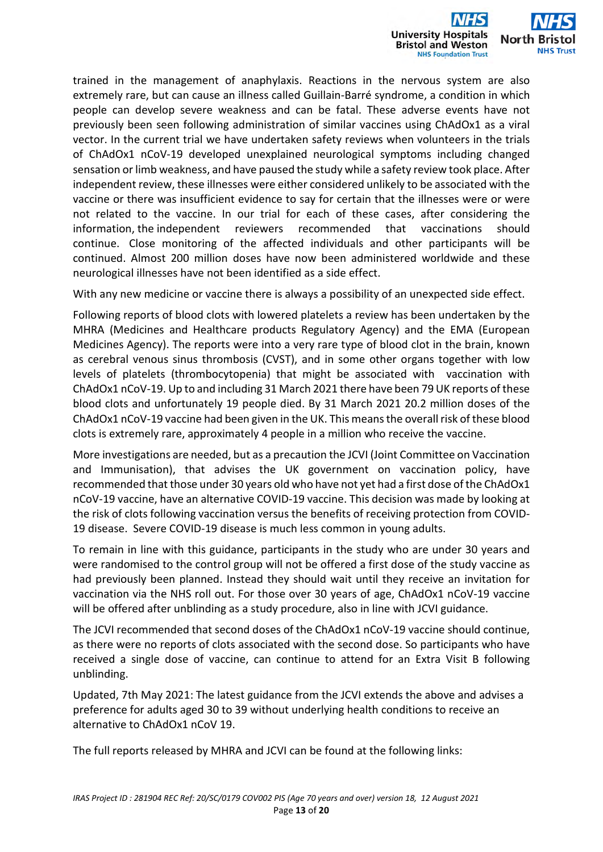

trained in the management of anaphylaxis. Reactions in the nervous system are also extremely rare, but can cause an illness called Guillain-Barré syndrome, a condition in which people can develop severe weakness and can be fatal. These adverse events have not previously been seen following administration of similar vaccines using ChAdOx1 as a viral vector. In the current trial we have undertaken safety reviews when volunteers in the trials of ChAdOx1 nCoV-19 developed unexplained neurological symptoms including changed sensation or limb weakness, and have paused the study while a safety review took place. After independent review, these illnesses were either considered unlikely to be associated with the vaccine or there was insufficient evidence to say for certain that the illnesses were or were not related to the vaccine. In our trial for each of these cases, after considering the information, the independent reviewers recommended that vaccinations should continue. Close monitoring of the affected individuals and other participants will be continued. Almost 200 million doses have now been administered worldwide and these neurological illnesses have not been identified as a side effect.

With any new medicine or vaccine there is always a possibility of an unexpected side effect.

Following reports of blood clots with lowered platelets a review has been undertaken by the MHRA (Medicines and Healthcare products Regulatory Agency) and the EMA (European Medicines Agency). The reports were into a very rare type of blood clot in the brain, known as cerebral venous sinus thrombosis (CVST), and in some other organs together with low levels of platelets (thrombocytopenia) that might be associated with vaccination with ChAdOx1 nCoV-19. Up to and including 31 March 2021 there have been 79 UK reports of these blood clots and unfortunately 19 people died. By 31 March 2021 20.2 million doses of the ChAdOx1 nCoV-19 vaccine had been given in the UK. This means the overall risk of these blood clots is extremely rare, approximately 4 people in a million who receive the vaccine.

More investigations are needed, but as a precaution the JCVI (Joint Committee on Vaccination and Immunisation), that advises the UK government on vaccination policy, have recommended that those under 30 years old who have not yet had a first dose of the ChAdOx1 nCoV-19 vaccine, have an alternative COVID-19 vaccine. This decision was made by looking at the risk of clots following vaccination versus the benefits of receiving protection from COVID-19 disease. Severe COVID-19 disease is much less common in young adults.

To remain in line with this guidance, participants in the study who are under 30 years and were randomised to the control group will not be offered a first dose of the study vaccine as had previously been planned. Instead they should wait until they receive an invitation for vaccination via the NHS roll out. For those over 30 years of age, ChAdOx1 nCoV-19 vaccine will be offered after unblinding as a study procedure, also in line with JCVI guidance.

The JCVI recommended that second doses of the ChAdOx1 nCoV-19 vaccine should continue, as there were no reports of clots associated with the second dose. So participants who have received a single dose of vaccine, can continue to attend for an Extra Visit B following unblinding.

Updated, 7th May 2021: The latest guidance from the JCVI extends the above and advises a preference for adults aged 30 to 39 without underlying health conditions to receive an alternative to ChAdOx1 nCoV 19.

The full reports released by MHRA and JCVI can be found at the following links: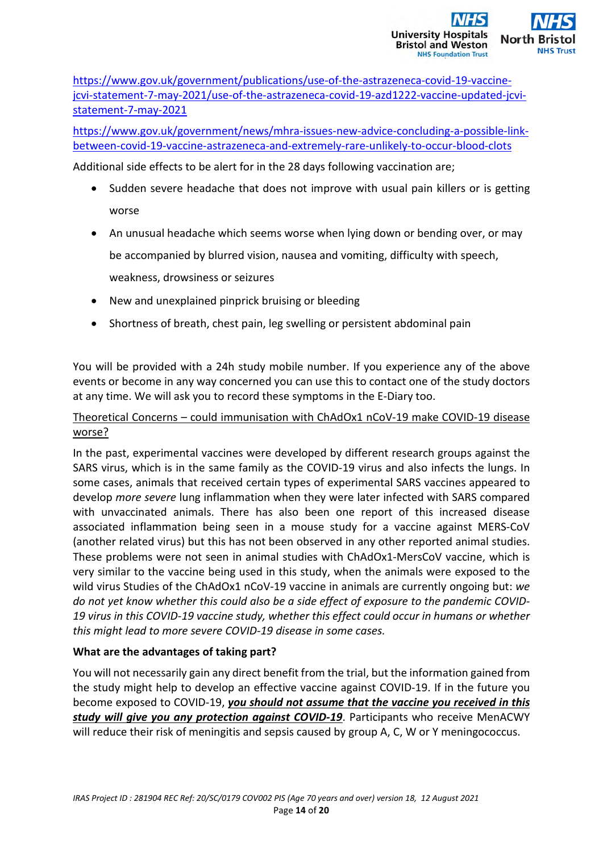

https://www.gov.uk/government/publications/use-of-the-astrazeneca-covid-19-vaccinejcvi-statement-7-may-2021/use-of-the-astrazeneca-covid-19-azd1222-vaccine-updated-jcvistatement-7-may-2021

https://www.gov.uk/government/news/mhra-issues-new-advice-concluding-a-possible-linkbetween-covid-19-vaccine-astrazeneca-and-extremely-rare-unlikely-to-occur-blood-clots

Additional side effects to be alert for in the 28 days following vaccination are;

- Sudden severe headache that does not improve with usual pain killers or is getting worse
- An unusual headache which seems worse when lying down or bending over, or may be accompanied by blurred vision, nausea and vomiting, difficulty with speech, weakness, drowsiness or seizures
- New and unexplained pinprick bruising or bleeding
- Shortness of breath, chest pain, leg swelling or persistent abdominal pain

You will be provided with a 24h study mobile number. If you experience any of the above events or become in any way concerned you can use this to contact one of the study doctors at any time. We will ask you to record these symptoms in the E-Diary too.

# Theoretical Concerns – could immunisation with ChAdOx1 nCoV-19 make COVID-19 disease worse?

In the past, experimental vaccines were developed by different research groups against the SARS virus, which is in the same family as the COVID-19 virus and also infects the lungs. In some cases, animals that received certain types of experimental SARS vaccines appeared to develop *more severe* lung inflammation when they were later infected with SARS compared with unvaccinated animals. There has also been one report of this increased disease associated inflammation being seen in a mouse study for a vaccine against MERS-CoV (another related virus) but this has not been observed in any other reported animal studies. These problems were not seen in animal studies with ChAdOx1-MersCoV vaccine, which is very similar to the vaccine being used in this study, when the animals were exposed to the wild virus Studies of the ChAdOx1 nCoV-19 vaccine in animals are currently ongoing but: *we do not yet know whether this could also be a side effect of exposure to the pandemic COVID-19 virus in this COVID-19 vaccine study, whether this effect could occur in humans or whether this might lead to more severe COVID-19 disease in some cases.*

# **What are the advantages of taking part?**

You will not necessarily gain any direct benefit from the trial, but the information gained from the study might help to develop an effective vaccine against COVID-19. If in the future you become exposed to COVID-19, *you should not assume that the vaccine you received in this study will give you any protection against COVID-19*. Participants who receive MenACWY will reduce their risk of meningitis and sepsis caused by group A, C, W or Y meningococcus.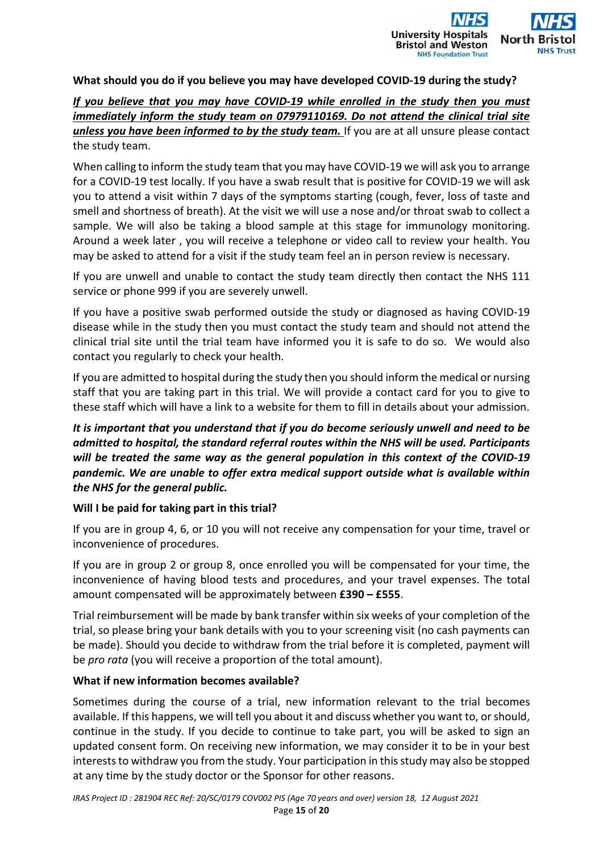

#### **What should you do if you believe you may have developed COVID-19 during the study?**

# *If you believe that you may have COVID-19 while enrolled in the study then you must immediately inform the study team on 07979110169. Do not attend the clinical trial site unless you have been informed to by the study team.* If you are at all unsure please contact the study team.

When calling to inform the study team that you may have COVID-19 we will ask you to arrange for a COVID-19 test locally. If you have a swab result that is positive for COVID-19 we will ask you to attend a visit within 7 days of the symptoms starting (cough, fever, loss of taste and smell and shortness of breath). At the visit we will use a nose and/or throat swab to collect a sample. We will also be taking a blood sample at this stage for immunology monitoring. Around a week later , you will receive a telephone or video call to review your health. You may be asked to attend for a visit if the study team feel an in person review is necessary.

If you are unwell and unable to contact the study team directly then contact the NHS 111 service or phone 999 if you are severely unwell.

If you have a positive swab performed outside the study or diagnosed as having COVID-19 disease while in the study then you must contact the study team and should not attend the clinical trial site until the trial team have informed you it is safe to do so. We would also contact you regularly to check your health.

If you are admitted to hospital during the study then you should inform the medical or nursing staff that you are taking part in this trial. We will provide a contact card for you to give to these staff which will have a link to a website for them to fill in details about your admission.

*It is important that you understand that if you do become seriously unwell and need to be admitted to hospital, the standard referral routes within the NHS will be used. Participants will be treated the same way as the general population in this context of the COVID-19 pandemic. We are unable to offer extra medical support outside what is available within the NHS for the general public.* 

#### **Will I be paid for taking part in this trial?**

If you are in group 4, 6, or 10 you will not receive any compensation for your time, travel or inconvenience of procedures.

If you are in group 2 or group 8, once enrolled you will be compensated for your time, the inconvenience of having blood tests and procedures, and your travel expenses. The total amount compensated will be approximately between **£390 – £555**.

Trial reimbursement will be made by bank transfer within six weeks of your completion of the trial, so please bring your bank details with you to your screening visit (no cash payments can be made). Should you decide to withdraw from the trial before it is completed, payment will be *pro rata* (you will receive a proportion of the total amount).

#### **What if new information becomes available?**

Sometimes during the course of a trial, new information relevant to the trial becomes available. If this happens, we will tell you about it and discuss whether you want to, or should, continue in the study. If you decide to continue to take part, you will be asked to sign an updated consent form. On receiving new information, we may consider it to be in your best interests to withdraw you from the study. Your participation in this study may also be stopped at any time by the study doctor or the Sponsor for other reasons.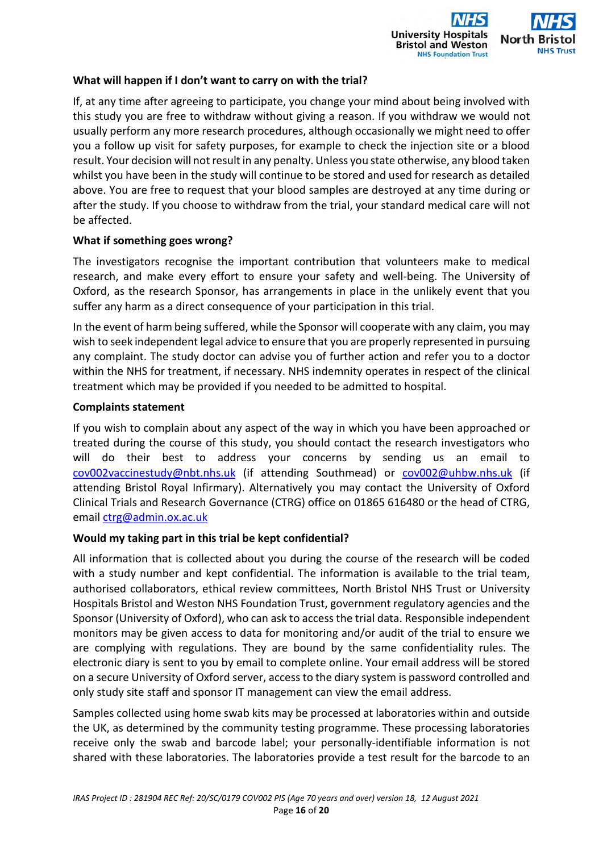

#### **What will happen if I don't want to carry on with the trial?**

If, at any time after agreeing to participate, you change your mind about being involved with this study you are free to withdraw without giving a reason. If you withdraw we would not usually perform any more research procedures, although occasionally we might need to offer you a follow up visit for safety purposes, for example to check the injection site or a blood result. Your decision will not result in any penalty. Unless you state otherwise, any blood taken whilst you have been in the study will continue to be stored and used for research as detailed above. You are free to request that your blood samples are destroyed at any time during or after the study. If you choose to withdraw from the trial, your standard medical care will not be affected.

#### **What if something goes wrong?**

The investigators recognise the important contribution that volunteers make to medical research, and make every effort to ensure your safety and well-being. The University of Oxford, as the research Sponsor, has arrangements in place in the unlikely event that you suffer any harm as a direct consequence of your participation in this trial.

In the event of harm being suffered, while the Sponsor will cooperate with any claim, you may wish to seek independent legal advice to ensure that you are properly represented in pursuing any complaint. The study doctor can advise you of further action and refer you to a doctor within the NHS for treatment, if necessary. NHS indemnity operates in respect of the clinical treatment which may be provided if you needed to be admitted to hospital.

#### **Complaints statement**

If you wish to complain about any aspect of the way in which you have been approached or treated during the course of this study, you should contact the research investigators who will do their best to address your concerns by sending us an email to cov002vaccinestudy@nbt.nhs.uk (if attending Southmead) or cov002@uhbw.nhs.uk (if attending Bristol Royal Infirmary). Alternatively you may contact the University of Oxford Clinical Trials and Research Governance (CTRG) office on 01865 616480 or the head of CTRG, email ctrg@admin.ox.ac.uk

#### **Would my taking part in this trial be kept confidential?**

All information that is collected about you during the course of the research will be coded with a study number and kept confidential. The information is available to the trial team, authorised collaborators, ethical review committees, North Bristol NHS Trust or University Hospitals Bristol and Weston NHS Foundation Trust, government regulatory agencies and the Sponsor (University of Oxford), who can ask to access the trial data. Responsible independent monitors may be given access to data for monitoring and/or audit of the trial to ensure we are complying with regulations. They are bound by the same confidentiality rules. The electronic diary is sent to you by email to complete online. Your email address will be stored on a secure University of Oxford server, access to the diary system is password controlled and only study site staff and sponsor IT management can view the email address.

Samples collected using home swab kits may be processed at laboratories within and outside the UK, as determined by the community testing programme. These processing laboratories receive only the swab and barcode label; your personally-identifiable information is not shared with these laboratories. The laboratories provide a test result for the barcode to an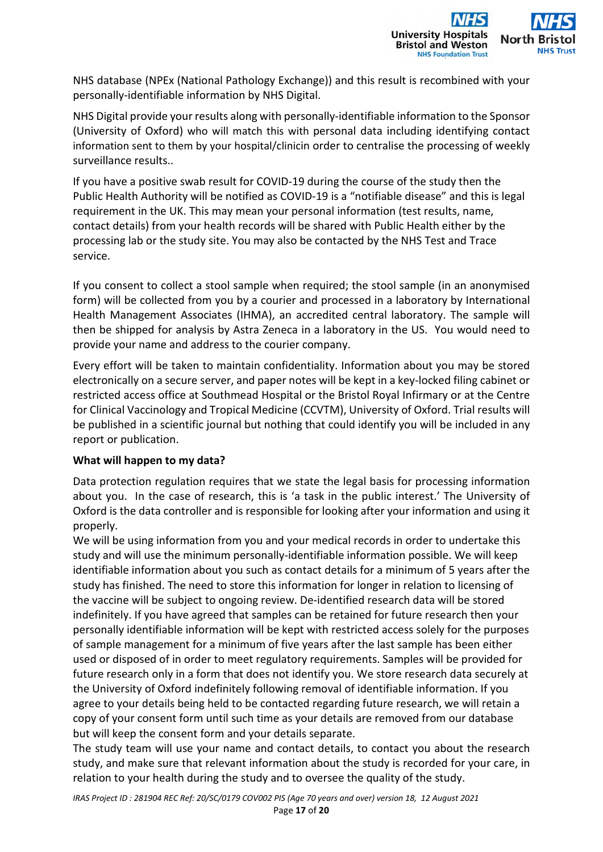

NHS database (NPEx (National Pathology Exchange)) and this result is recombined with your personally-identifiable information by NHS Digital.

NHS Digital provide your results along with personally-identifiable information to the Sponsor (University of Oxford) who will match this with personal data including identifying contact information sent to them by your hospital/clinicin order to centralise the processing of weekly surveillance results..

If you have a positive swab result for COVID-19 during the course of the study then the Public Health Authority will be notified as COVID-19 is a "notifiable disease" and this is legal requirement in the UK. This may mean your personal information (test results, name, contact details) from your health records will be shared with Public Health either by the processing lab or the study site. You may also be contacted by the NHS Test and Trace service.

If you consent to collect a stool sample when required; the stool sample (in an anonymised form) will be collected from you by a courier and processed in a laboratory by International Health Management Associates (IHMA), an accredited central laboratory. The sample will then be shipped for analysis by Astra Zeneca in a laboratory in the US. You would need to provide your name and address to the courier company.

Every effort will be taken to maintain confidentiality. Information about you may be stored electronically on a secure server, and paper notes will be kept in a key-locked filing cabinet or restricted access office at Southmead Hospital or the Bristol Royal Infirmary or at the Centre for Clinical Vaccinology and Tropical Medicine (CCVTM), University of Oxford. Trial results will be published in a scientific journal but nothing that could identify you will be included in any report or publication.

# **What will happen to my data?**

Data protection regulation requires that we state the legal basis for processing information about you. In the case of research, this is 'a task in the public interest.' The University of Oxford is the data controller and is responsible for looking after your information and using it properly.

We will be using information from you and your medical records in order to undertake this study and will use the minimum personally-identifiable information possible. We will keep identifiable information about you such as contact details for a minimum of 5 years after the study has finished. The need to store this information for longer in relation to licensing of the vaccine will be subject to ongoing review. De-identified research data will be stored indefinitely. If you have agreed that samples can be retained for future research then your personally identifiable information will be kept with restricted access solely for the purposes of sample management for a minimum of five years after the last sample has been either used or disposed of in order to meet regulatory requirements. Samples will be provided for future research only in a form that does not identify you. We store research data securely at the University of Oxford indefinitely following removal of identifiable information. If you agree to your details being held to be contacted regarding future research, we will retain a copy of your consent form until such time as your details are removed from our database but will keep the consent form and your details separate.

The study team will use your name and contact details, to contact you about the research study, and make sure that relevant information about the study is recorded for your care, in relation to your health during the study and to oversee the quality of the study.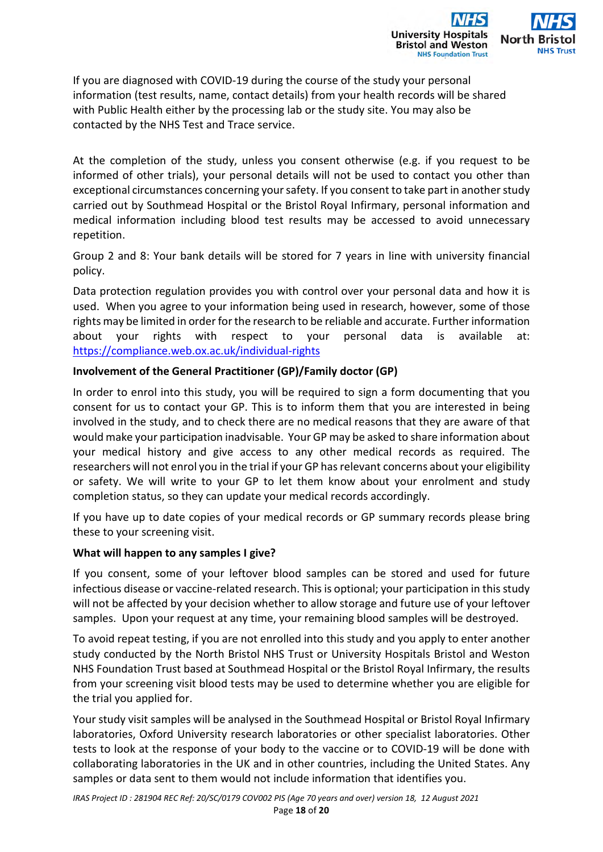

If you are diagnosed with COVID-19 during the course of the study your personal information (test results, name, contact details) from your health records will be shared with Public Health either by the processing lab or the study site. You may also be contacted by the NHS Test and Trace service.

At the completion of the study, unless you consent otherwise (e.g. if you request to be informed of other trials), your personal details will not be used to contact you other than exceptional circumstances concerning your safety. If you consent to take part in another study carried out by Southmead Hospital or the Bristol Royal Infirmary, personal information and medical information including blood test results may be accessed to avoid unnecessary repetition.

Group 2 and 8: Your bank details will be stored for 7 years in line with university financial policy.

Data protection regulation provides you with control over your personal data and how it is used. When you agree to your information being used in research, however, some of those rights may be limited in order for the research to be reliable and accurate. Further information about your rights with respect to your personal data is available at: https://compliance.web.ox.ac.uk/individual-rights

## **Involvement of the General Practitioner (GP)/Family doctor (GP)**

In order to enrol into this study, you will be required to sign a form documenting that you consent for us to contact your GP. This is to inform them that you are interested in being involved in the study, and to check there are no medical reasons that they are aware of that would make your participation inadvisable. Your GP may be asked to share information about your medical history and give access to any other medical records as required. The researchers will not enrol you in the trial if your GP has relevant concerns about your eligibility or safety. We will write to your GP to let them know about your enrolment and study completion status, so they can update your medical records accordingly.

If you have up to date copies of your medical records or GP summary records please bring these to your screening visit.

#### **What will happen to any samples I give?**

If you consent, some of your leftover blood samples can be stored and used for future infectious disease or vaccine-related research. This is optional; your participation in this study will not be affected by your decision whether to allow storage and future use of your leftover samples. Upon your request at any time, your remaining blood samples will be destroyed.

To avoid repeat testing, if you are not enrolled into this study and you apply to enter another study conducted by the North Bristol NHS Trust or University Hospitals Bristol and Weston NHS Foundation Trust based at Southmead Hospital or the Bristol Royal Infirmary, the results from your screening visit blood tests may be used to determine whether you are eligible for the trial you applied for.

Your study visit samples will be analysed in the Southmead Hospital or Bristol Royal Infirmary laboratories, Oxford University research laboratories or other specialist laboratories. Other tests to look at the response of your body to the vaccine or to COVID-19 will be done with collaborating laboratories in the UK and in other countries, including the United States. Any samples or data sent to them would not include information that identifies you.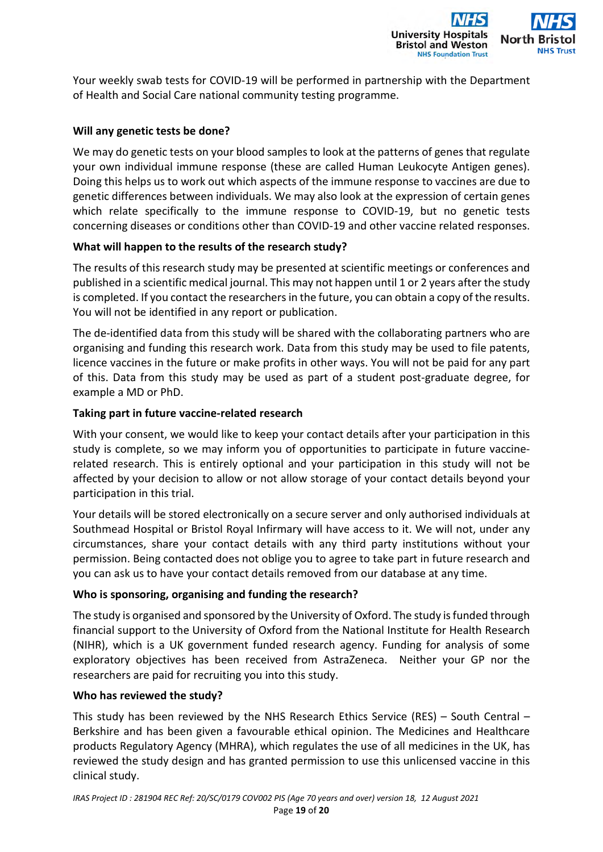**University Hospitals Bristol and Weston NHS Foundation Trust** 

Your weekly swab tests for COVID-19 will be performed in partnership with the Department of Health and Social Care national community testing programme.

# **Will any genetic tests be done?**

We may do genetic tests on your blood samples to look at the patterns of genes that regulate your own individual immune response (these are called Human Leukocyte Antigen genes). Doing this helps us to work out which aspects of the immune response to vaccines are due to genetic differences between individuals. We may also look at the expression of certain genes which relate specifically to the immune response to COVID-19, but no genetic tests concerning diseases or conditions other than COVID-19 and other vaccine related responses.

## **What will happen to the results of the research study?**

The results of this research study may be presented at scientific meetings or conferences and published in a scientific medical journal. This may not happen until 1 or 2 years after the study is completed. If you contact the researchers in the future, you can obtain a copy of the results. You will not be identified in any report or publication.

The de-identified data from this study will be shared with the collaborating partners who are organising and funding this research work. Data from this study may be used to file patents, licence vaccines in the future or make profits in other ways. You will not be paid for any part of this. Data from this study may be used as part of a student post-graduate degree, for example a MD or PhD.

#### **Taking part in future vaccine-related research**

With your consent, we would like to keep your contact details after your participation in this study is complete, so we may inform you of opportunities to participate in future vaccinerelated research. This is entirely optional and your participation in this study will not be affected by your decision to allow or not allow storage of your contact details beyond your participation in this trial.

Your details will be stored electronically on a secure server and only authorised individuals at Southmead Hospital or Bristol Royal Infirmary will have access to it. We will not, under any circumstances, share your contact details with any third party institutions without your permission. Being contacted does not oblige you to agree to take part in future research and you can ask us to have your contact details removed from our database at any time.

#### **Who is sponsoring, organising and funding the research?**

The study is organised and sponsored by the University of Oxford. The study is funded through financial support to the University of Oxford from the National Institute for Health Research (NIHR), which is a UK government funded research agency. Funding for analysis of some exploratory objectives has been received from AstraZeneca. Neither your GP nor the researchers are paid for recruiting you into this study.

#### **Who has reviewed the study?**

This study has been reviewed by the NHS Research Ethics Service (RES) – South Central – Berkshire and has been given a favourable ethical opinion. The Medicines and Healthcare products Regulatory Agency (MHRA), which regulates the use of all medicines in the UK, has reviewed the study design and has granted permission to use this unlicensed vaccine in this clinical study.